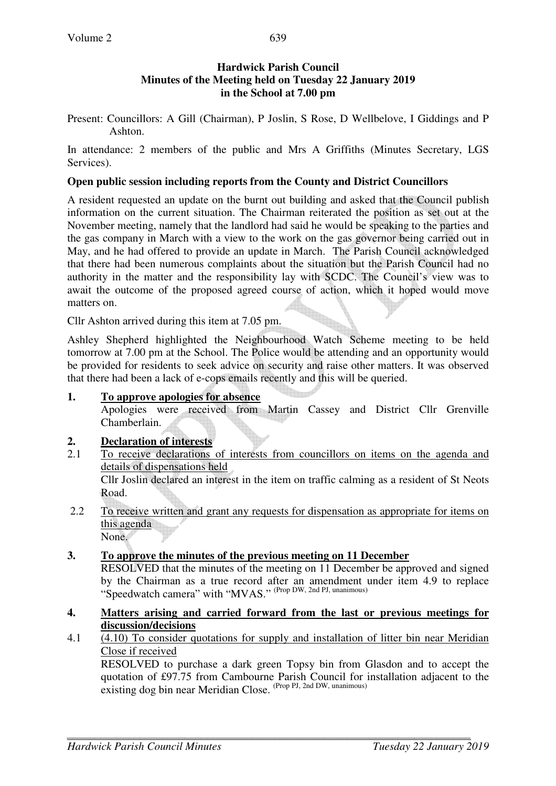### **Hardwick Parish Council Minutes of the Meeting held on Tuesday 22 January 2019 in the School at 7.00 pm**

Present: Councillors: A Gill (Chairman), P Joslin, S Rose, D Wellbelove, I Giddings and P Ashton.

In attendance: 2 members of the public and Mrs A Griffiths (Minutes Secretary, LGS Services).

#### **Open public session including reports from the County and District Councillors**

A resident requested an update on the burnt out building and asked that the Council publish information on the current situation. The Chairman reiterated the position as set out at the November meeting, namely that the landlord had said he would be speaking to the parties and the gas company in March with a view to the work on the gas governor being carried out in May, and he had offered to provide an update in March. The Parish Council acknowledged that there had been numerous complaints about the situation but the Parish Council had no authority in the matter and the responsibility lay with SCDC. The Council's view was to await the outcome of the proposed agreed course of action, which it hoped would move matters on.

Cllr Ashton arrived during this item at 7.05 pm.

Ashley Shepherd highlighted the Neighbourhood Watch Scheme meeting to be held tomorrow at 7.00 pm at the School. The Police would be attending and an opportunity would be provided for residents to seek advice on security and raise other matters. It was observed that there had been a lack of e-cops emails recently and this will be queried.

### **1. To approve apologies for absence**

Apologies were received from Martin Cassey and District Cllr Grenville Chamberlain.

# **2. Declaration of interests**

- 2.1 To receive declarations of interests from councillors on items on the agenda and details of dispensations held Cllr Joslin declared an interest in the item on traffic calming as a resident of St Neots Road.
- 2.2 To receive written and grant any requests for dispensation as appropriate for items on this agenda

None.

# **3. To approve the minutes of the previous meeting on 11 December**

RESOLVED that the minutes of the meeting on 11 December be approved and signed by the Chairman as a true record after an amendment under item 4.9 to replace "Speedwatch camera" with "MVAS." (Prop DW, 2nd PJ, unanimous)

#### **4. Matters arising and carried forward from the last or previous meetings for discussion/decisions**

4.1 (4.10) To consider quotations for supply and installation of litter bin near Meridian Close if received

 RESOLVED to purchase a dark green Topsy bin from Glasdon and to accept the quotation of £97.75 from Cambourne Parish Council for installation adjacent to the existing dog bin near Meridian Close. (Prop PJ, 2nd DW, unanimous)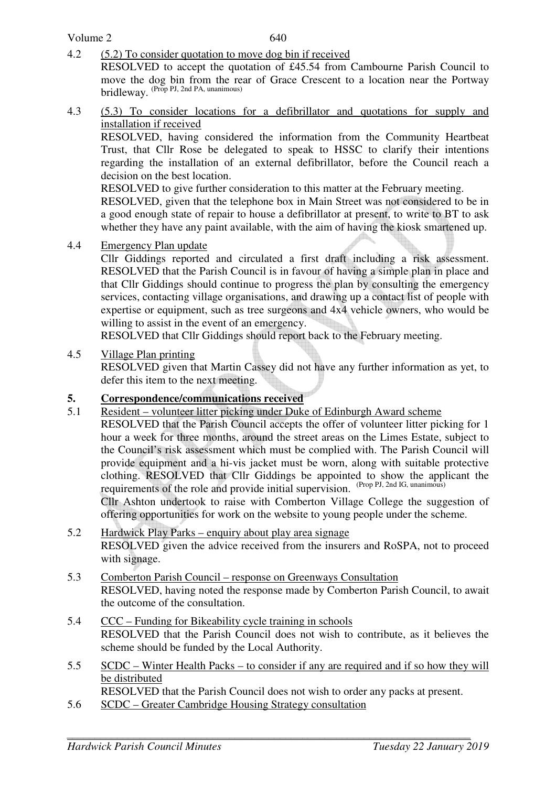#### Volume 2

4.2 (5.2) To consider quotation to move dog bin if received

RESOLVED to accept the quotation of £45.54 from Cambourne Parish Council to move the dog bin from the rear of Grace Crescent to a location near the Portway  $b$ ridleway. (Prop PJ, 2nd PA, unanimous)

4.3 (5.3) To consider locations for a defibrillator and quotations for supply and installation if received

 RESOLVED, having considered the information from the Community Heartbeat Trust, that Cllr Rose be delegated to speak to HSSC to clarify their intentions regarding the installation of an external defibrillator, before the Council reach a decision on the best location.

RESOLVED to give further consideration to this matter at the February meeting.

RESOLVED, given that the telephone box in Main Street was not considered to be in a good enough state of repair to house a defibrillator at present, to write to BT to ask whether they have any paint available, with the aim of having the kiosk smartened up.

4.4 Emergency Plan update

 Cllr Giddings reported and circulated a first draft including a risk assessment. RESOLVED that the Parish Council is in favour of having a simple plan in place and that Cllr Giddings should continue to progress the plan by consulting the emergency services, contacting village organisations, and drawing up a contact list of people with expertise or equipment, such as tree surgeons and 4x4 vehicle owners, who would be willing to assist in the event of an emergency.

RESOLVED that Cllr Giddings should report back to the February meeting.

4.5 Village Plan printing

RESOLVED given that Martin Cassey did not have any further information as yet, to defer this item to the next meeting.

#### **5. Correspondence/communications received**

5.1 Resident – volunteer litter picking under Duke of Edinburgh Award scheme

 RESOLVED that the Parish Council accepts the offer of volunteer litter picking for 1 hour a week for three months, around the street areas on the Limes Estate, subject to the Council's risk assessment which must be complied with. The Parish Council will provide equipment and a hi-vis jacket must be worn, along with suitable protective clothing. RESOLVED that Cllr Giddings be appointed to show the applicant the requirements of the role and provide initial supervision. (Prop PJ, 2nd IG, unanimous)

Cllr Ashton undertook to raise with Comberton Village College the suggestion of offering opportunities for work on the website to young people under the scheme.

- 5.2 Hardwick Play Parks enquiry about play area signage RESOLVED given the advice received from the insurers and RoSPA, not to proceed with signage.
- 5.3 Comberton Parish Council response on Greenways Consultation RESOLVED, having noted the response made by Comberton Parish Council, to await the outcome of the consultation.
- 5.4 CCC Funding for Bikeability cycle training in schools RESOLVED that the Parish Council does not wish to contribute, as it believes the scheme should be funded by the Local Authority.
- 5.5 SCDC Winter Health Packs to consider if any are required and if so how they will be distributed

RESOLVED that the Parish Council does not wish to order any packs at present.

5.6 SCDC – Greater Cambridge Housing Strategy consultation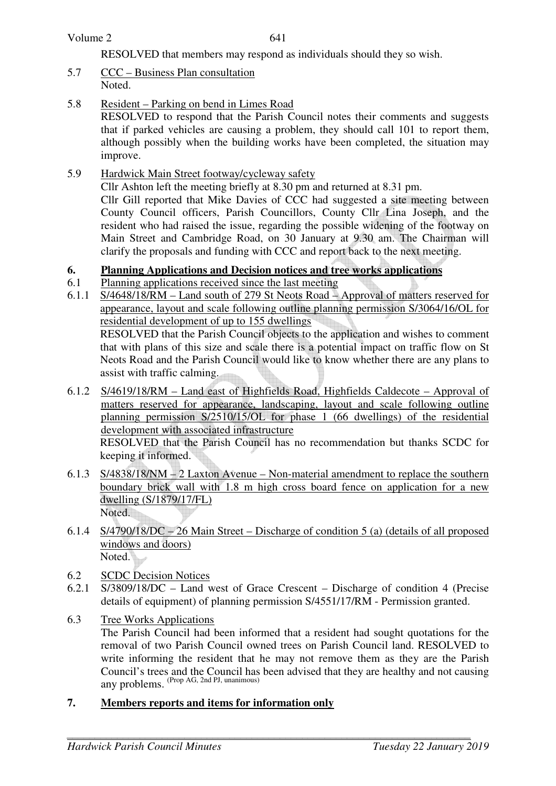RESOLVED that members may respond as individuals should they so wish.

- 5.7 CCC Business Plan consultation Noted.
- 5.8 Resident Parking on bend in Limes Road

 RESOLVED to respond that the Parish Council notes their comments and suggests that if parked vehicles are causing a problem, they should call 101 to report them, although possibly when the building works have been completed, the situation may improve.

5.9 Hardwick Main Street footway/cycleway safety

 Cllr Ashton left the meeting briefly at 8.30 pm and returned at 8.31 pm. Cllr Gill reported that Mike Davies of CCC had suggested a site meeting between County Council officers, Parish Councillors, County Cllr Lina Joseph, and the resident who had raised the issue, regarding the possible widening of the footway on Main Street and Cambridge Road, on 30 January at 9.30 am. The Chairman will clarify the proposals and funding with CCC and report back to the next meeting.

### **6. Planning Applications and Decision notices and tree works applications**

- 6.1 Planning applications received since the last meeting
- 6.1.1 S/4648/18/RM Land south of 279 St Neots Road Approval of matters reserved for appearance, layout and scale following outline planning permission S/3064/16/OL for residential development of up to 155 dwellings

 RESOLVED that the Parish Council objects to the application and wishes to comment that with plans of this size and scale there is a potential impact on traffic flow on St Neots Road and the Parish Council would like to know whether there are any plans to assist with traffic calming.

6.1.2 S/4619/18/RM – Land east of Highfields Road, Highfields Caldecote – Approval of matters reserved for appearance, landscaping, layout and scale following outline planning permission S/2510/15/OL for phase 1 (66 dwellings) of the residential development with associated infrastructure

RESOLVED that the Parish Council has no recommendation but thanks SCDC for keeping it informed.

- 6.1.3 S/4838/18/NM 2 Laxton Avenue Non-material amendment to replace the southern boundary brick wall with 1.8 m high cross board fence on application for a new dwelling (S/1879/17/FL) Noted.
- 6.1.4 S/4790/18/DC 26 Main Street Discharge of condition 5 (a) (details of all proposed windows and doors) Noted.
- 6.2 SCDC Decision Notices
- 6.2.1 S/3809/18/DC Land west of Grace Crescent Discharge of condition 4 (Precise details of equipment) of planning permission S/4551/17/RM - Permission granted.
- 6.3 Tree Works Applications The Parish Council had been informed that a resident had sought quotations for the removal of two Parish Council owned trees on Parish Council land. RESOLVED to write informing the resident that he may not remove them as they are the Parish Council's trees and the Council has been advised that they are healthy and not causing any problems. (Prop AG, 2nd PJ, unanimous)
- **7. Members reports and items for information only**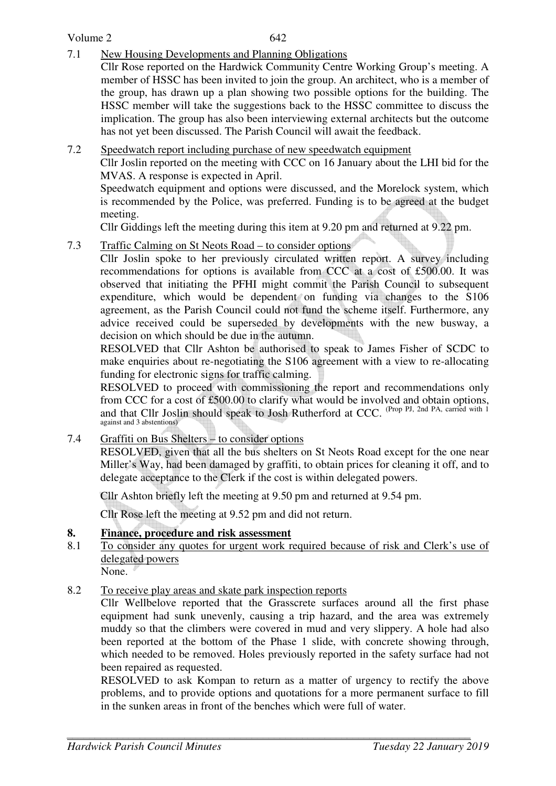### Volume 2

7.1 New Housing Developments and Planning Obligations

Cllr Rose reported on the Hardwick Community Centre Working Group's meeting. A member of HSSC has been invited to join the group. An architect, who is a member of the group, has drawn up a plan showing two possible options for the building. The HSSC member will take the suggestions back to the HSSC committee to discuss the implication. The group has also been interviewing external architects but the outcome has not yet been discussed. The Parish Council will await the feedback.

### 7.2 Speedwatch report including purchase of new speedwatch equipment

 Cllr Joslin reported on the meeting with CCC on 16 January about the LHI bid for the MVAS. A response is expected in April.

 Speedwatch equipment and options were discussed, and the Morelock system, which is recommended by the Police, was preferred. Funding is to be agreed at the budget meeting.

Cllr Giddings left the meeting during this item at 9.20 pm and returned at 9.22 pm.

# 7.3 Traffic Calming on St Neots Road – to consider options

 Cllr Joslin spoke to her previously circulated written report. A survey including recommendations for options is available from CCC at a cost of £500.00. It was observed that initiating the PFHI might commit the Parish Council to subsequent expenditure, which would be dependent on funding via changes to the S106 agreement, as the Parish Council could not fund the scheme itself. Furthermore, any advice received could be superseded by developments with the new busway, a decision on which should be due in the autumn.

 RESOLVED that Cllr Ashton be authorised to speak to James Fisher of SCDC to make enquiries about re-negotiating the S106 agreement with a view to re-allocating funding for electronic signs for traffic calming.

 RESOLVED to proceed with commissioning the report and recommendations only from CCC for a cost of £500.00 to clarify what would be involved and obtain options, and that Cllr Joslin should speak to Josh Rutherford at CCC. (Prop PJ, 2nd PA, carried with 1) against and 3 abstentions)

7.4 Graffiti on Bus Shelters – to consider options

 RESOLVED, given that all the bus shelters on St Neots Road except for the one near Miller's Way, had been damaged by graffiti, to obtain prices for cleaning it off, and to delegate acceptance to the Clerk if the cost is within delegated powers.

Cllr Ashton briefly left the meeting at 9.50 pm and returned at 9.54 pm.

Cllr Rose left the meeting at 9.52 pm and did not return.

# **8. Finance, procedure and risk assessment**

8.1 To consider any quotes for urgent work required because of risk and Clerk's use of delegated powers

None.

8.2 To receive play areas and skate park inspection reports

Cllr Wellbelove reported that the Grasscrete surfaces around all the first phase equipment had sunk unevenly, causing a trip hazard, and the area was extremely muddy so that the climbers were covered in mud and very slippery. A hole had also been reported at the bottom of the Phase 1 slide, with concrete showing through, which needed to be removed. Holes previously reported in the safety surface had not been repaired as requested.

RESOLVED to ask Kompan to return as a matter of urgency to rectify the above problems, and to provide options and quotations for a more permanent surface to fill in the sunken areas in front of the benches which were full of water.